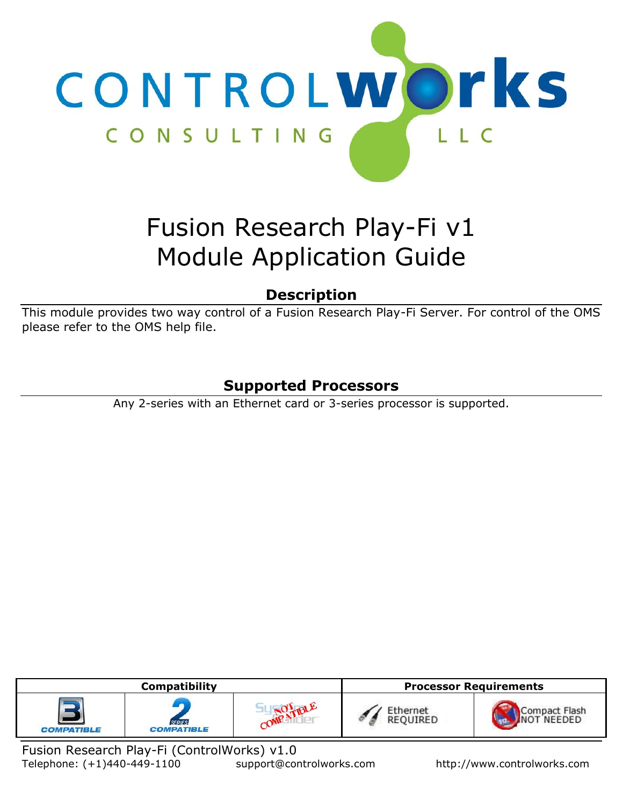

# Fusion Research Play-Fi v1 Module Application Guide

# **Description**

This module provides two way control of a Fusion Research Play-Fi Server. For control of the OMS please refer to the OMS help file.

# **Supported Processors**

Any 2-series with an Ethernet card or 3-series processor is supported.

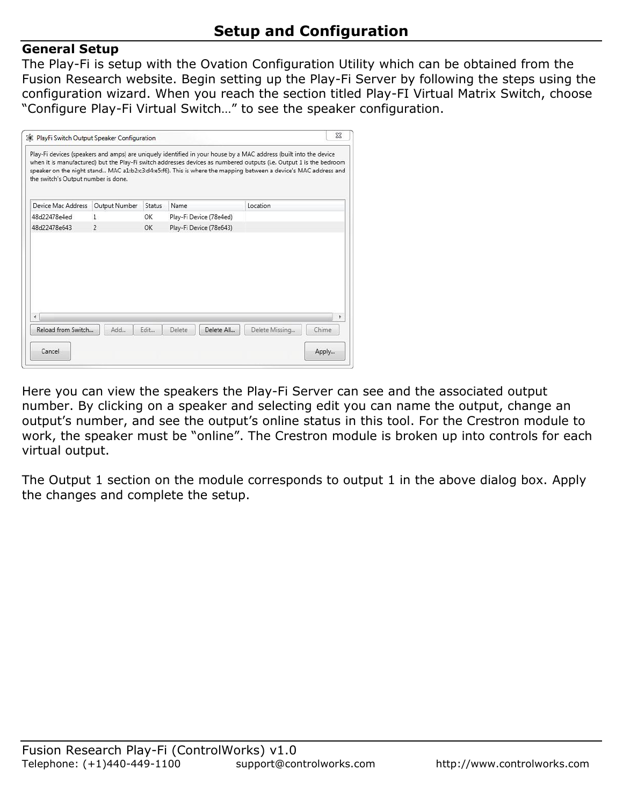## **General Setup**

The Play-Fi is setup with the Ovation Configuration Utility which can be obtained from the Fusion Research website. Begin setting up the Play-Fi Server by following the steps using the configuration wizard. When you reach the section titled Play-FI Virtual Matrix Switch, choose "Configure Play-Fi Virtual Switch…" to see the speaker configuration.

|                                     |                |        |                         | Play-Fi devices (speakers and amps) are uniquely identified in your house by a MAC address (built into the device   |       |
|-------------------------------------|----------------|--------|-------------------------|---------------------------------------------------------------------------------------------------------------------|-------|
|                                     |                |        |                         | when it is manufactured) but the Play-Fi switch addresses devices as numbered outputs (i.e. Output 1 is the bedroom |       |
| the switch's Output number is done. |                |        |                         | speaker on the night stand MAC a1:b2:c3:d4:e5:f6). This is where the mapping between a device's MAC address and     |       |
|                                     |                |        |                         |                                                                                                                     |       |
| Device Mac Address                  | Output Number  | Status | Name                    | Location                                                                                                            |       |
| 48d22478e4ed                        | $\mathbf{1}$   | OK     | Play-Fi Device (78e4ed) |                                                                                                                     |       |
| 48d22478e643                        | $\overline{2}$ | ОК     | Play-Fi Device (78e643) |                                                                                                                     |       |
|                                     |                |        |                         |                                                                                                                     |       |
|                                     |                |        |                         |                                                                                                                     |       |
|                                     |                |        |                         |                                                                                                                     |       |
|                                     |                |        |                         |                                                                                                                     |       |
|                                     |                |        |                         |                                                                                                                     |       |
|                                     |                |        |                         |                                                                                                                     |       |
|                                     |                |        |                         |                                                                                                                     |       |
|                                     |                |        |                         |                                                                                                                     |       |
|                                     |                |        |                         |                                                                                                                     |       |
|                                     |                |        |                         |                                                                                                                     |       |
| Reload from Switch                  | Add            | Edit   | Delete All<br>Delete    | Delete Missing                                                                                                      | Chime |

Here you can view the speakers the Play-Fi Server can see and the associated output number. By clicking on a speaker and selecting edit you can name the output, change an output's number, and see the output's online status in this tool. For the Crestron module to work, the speaker must be "online". The Crestron module is broken up into controls for each virtual output.

The Output 1 section on the module corresponds to output 1 in the above dialog box. Apply the changes and complete the setup.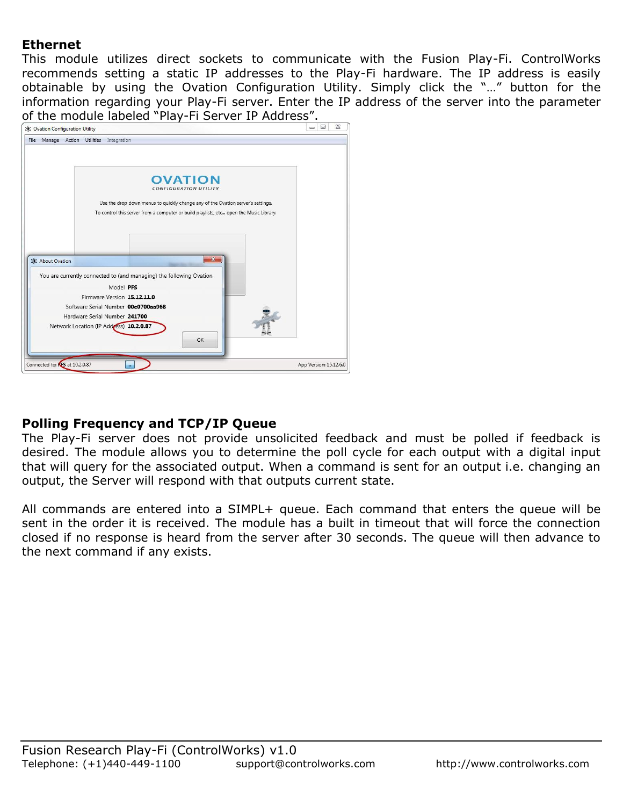# **Ethernet**

This module utilizes direct sockets to communicate with the Fusion Play-Fi. ControlWorks recommends setting a static IP addresses to the Play-Fi hardware. The IP address is easily obtainable by using the Ovation Configuration Utility. Simply click the "…" button for the information regarding your Play-Fi server. Enter the IP address of the server into the parameter of the module labeled "Play-Fi Server IP Address".



## **Polling Frequency and TCP/IP Queue**

The Play-Fi server does not provide unsolicited feedback and must be polled if feedback is desired. The module allows you to determine the poll cycle for each output with a digital input that will query for the associated output. When a command is sent for an output i.e. changing an output, the Server will respond with that outputs current state.

All commands are entered into a SIMPL+ queue. Each command that enters the queue will be sent in the order it is received. The module has a built in timeout that will force the connection closed if no response is heard from the server after 30 seconds. The queue will then advance to the next command if any exists.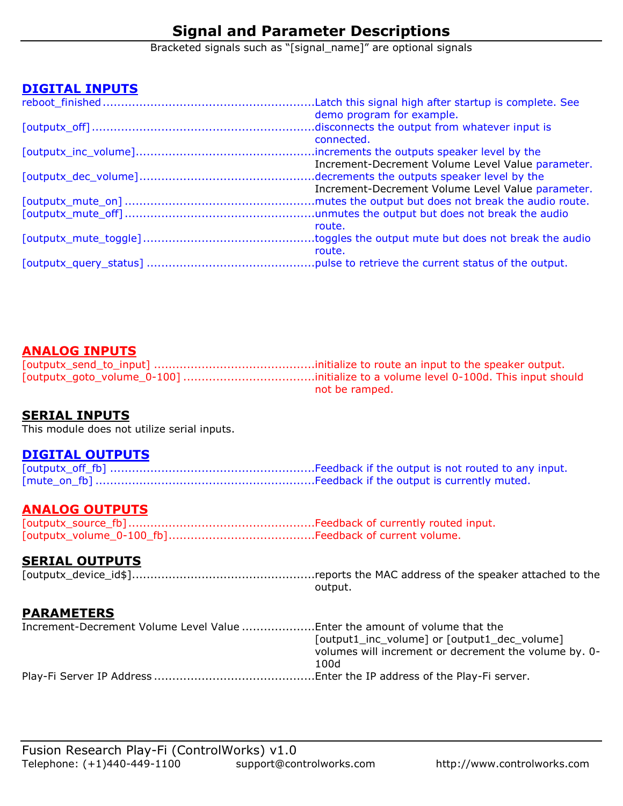# **Signal and Parameter Descriptions**

Bracketed signals such as "[signal\_name]" are optional signals

## **DIGITAL INPUTS**

| demo program for example.                         |
|---------------------------------------------------|
|                                                   |
| connected.                                        |
|                                                   |
| Increment-Decrement Volume Level Value parameter. |
|                                                   |
| Increment-Decrement Volume Level Value parameter. |
|                                                   |
|                                                   |
| route.                                            |
|                                                   |
| route.                                            |
|                                                   |
|                                                   |

## **ANALOG INPUTS**

[outputx\_send\_to\_input] ............................................initialize to route an input to the speaker output. [outputx\_goto\_volume\_0-100] ....................................initialize to a volume level 0-100d. This input should not be ramped.

## **SERIAL INPUTS**

This module does not utilize serial inputs.

#### **DIGITAL OUTPUTS**

## **ANALOG OUTPUTS**

[outputx\_source\_fb] ...................................................Feedback of currently routed input. [outputx\_volume\_0-100\_fb]........................................Feedback of current volume.

## **SERIAL OUTPUTS**

[outputx\_device\_id\$]..................................................reports the MAC address of the speaker attached to the output.

#### **PARAMETERS**

| Increment-Decrement Volume Level Value Enter the amount of volume that the |                                                       |
|----------------------------------------------------------------------------|-------------------------------------------------------|
|                                                                            | [output1_inc_volume] or [output1_dec_volume]          |
|                                                                            | volumes will increment or decrement the volume by. 0- |
|                                                                            | 100d                                                  |
|                                                                            |                                                       |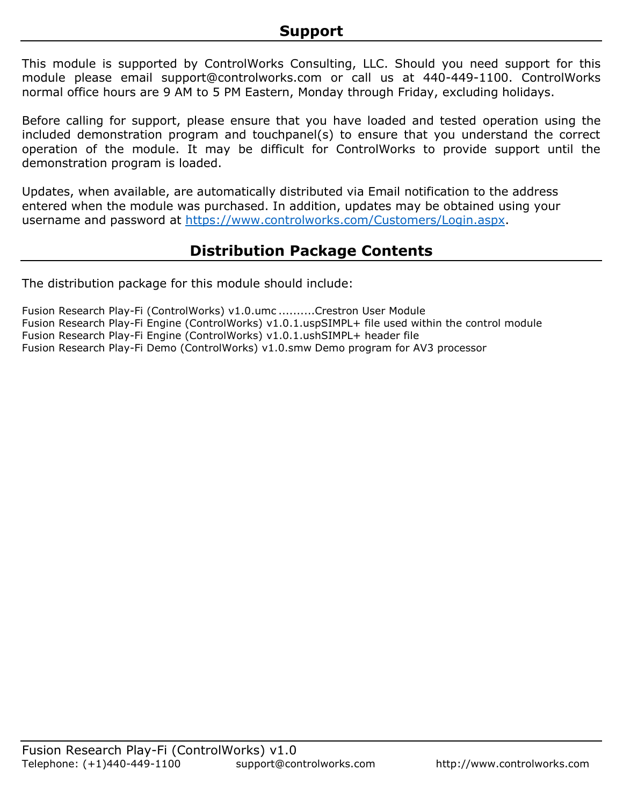This module is supported by ControlWorks Consulting, LLC. Should you need support for this module please email support@controlworks.com or call us at 440-449-1100. ControlWorks normal office hours are 9 AM to 5 PM Eastern, Monday through Friday, excluding holidays.

Before calling for support, please ensure that you have loaded and tested operation using the included demonstration program and touchpanel(s) to ensure that you understand the correct operation of the module. It may be difficult for ControlWorks to provide support until the demonstration program is loaded.

Updates, when available, are automatically distributed via Email notification to the address entered when the module was purchased. In addition, updates may be obtained using your username and password at [https://www.controlworks.com/Customers/Login.aspx.](https://www.controlworks.com/Customers/Login.aspx)

# **Distribution Package Contents**

The distribution package for this module should include:

Fusion Research Play-Fi (ControlWorks) v1.0.umc ..........Crestron User Module Fusion Research Play-Fi Engine (ControlWorks) v1.0.1.uspSIMPL+ file used within the control module Fusion Research Play-Fi Engine (ControlWorks) v1.0.1.ushSIMPL+ header file Fusion Research Play-Fi Demo (ControlWorks) v1.0.smw Demo program for AV3 processor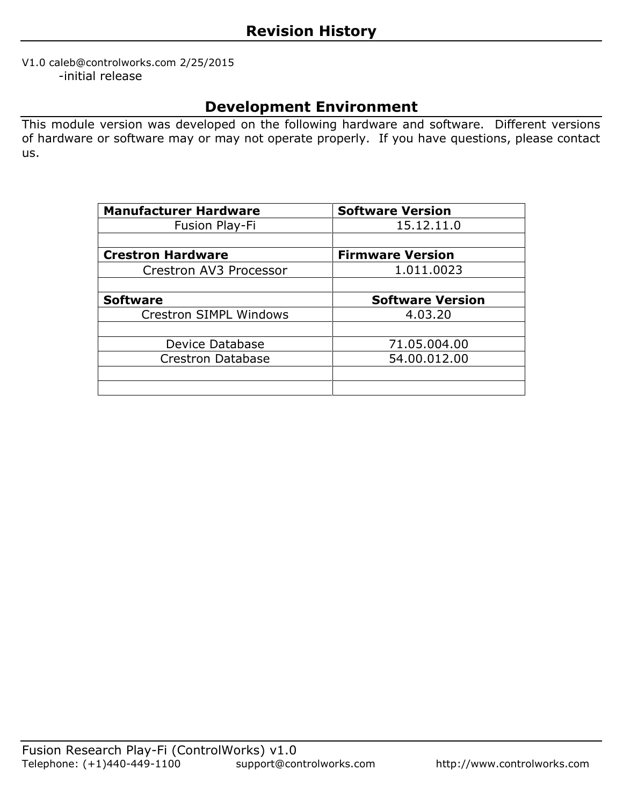#### V1.0 caleb@controlworks.com 2/25/2015 -initial release

# **Development Environment**

This module version was developed on the following hardware and software. Different versions of hardware or software may or may not operate properly. If you have questions, please contact us.

| <b>Manufacturer Hardware</b>  | <b>Software Version</b> |
|-------------------------------|-------------------------|
| Fusion Play-Fi                | 15.12.11.0              |
|                               |                         |
| <b>Crestron Hardware</b>      | <b>Firmware Version</b> |
| Crestron AV3 Processor        | 1.011.0023              |
|                               |                         |
| <b>Software</b>               | <b>Software Version</b> |
| <b>Crestron SIMPL Windows</b> | 4.03.20                 |
|                               |                         |
| Device Database               | 71.05.004.00            |
| <b>Crestron Database</b>      | 54.00.012.00            |
|                               |                         |
|                               |                         |